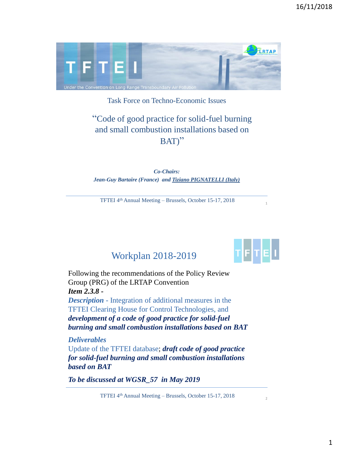

Task Force on Techno-Economic Issues

# "Code of good practice for solid-fuel burning and small combustion installations based on BAT)"

*Co-Chairs: Jean-Guy Bartaire (France) and Tiziano PIGNATELLI (Italy)*

TFTEI 4th Annual Meeting – Brussels, October 15-17, 2018



 $\overline{2}$ 

1

# Workplan 2018-2019

Following the recommendations of the Policy Review Group (PRG) of the LRTAP Convention *Item 2.3.8 - Description* - Integration of additional measures in the TFTEI Clearing House for Control Technologies, and

*development of a code of good practice for solid-fuel burning and small combustion installations based on BAT*

#### *Deliverables*

Update of the TFTEI database; *draft code of good practice for solid-fuel burning and small combustion installations based on BAT* 

*To be discussed at WGSR\_57 in May 2019*

TFTEI 4th Annual Meeting – Brussels, October 15-17, 2018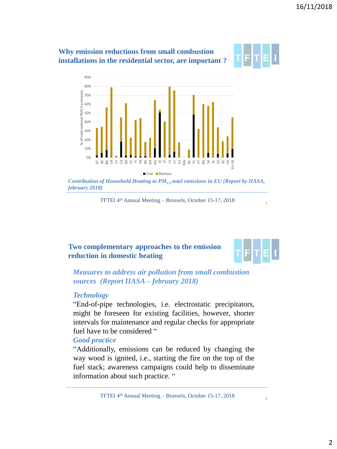

Coal Biomass

*Contribution of Household Heating to PM2.5 total emissions in EU (Report by IIASA, february 2018)* 

TFTEI 4th Annual Meeting – Brussels, October 15-17, 2018

#### **Two complementary approaches to the emission reduction in domestic heating**



4

3

*Measures to address air pollution from small combustion sources (Report IIASA – february 2018)*

#### *Technology*

"End-of-pipe technologies, i.e. electrostatic precipitators, might be foreseen for existing facilities, however, shorter intervals for maintenance and regular checks for appropriate fuel have to be considered "

#### *Good practice*

"Additionally, emissions can be reduced by changing the way wood is ignited, i.e., starting the fire on the top of the fuel stack; awareness campaigns could help to disseminate information about such practice. "

TFTEI 4th Annual Meeting – Brussels, October 15-17, 2018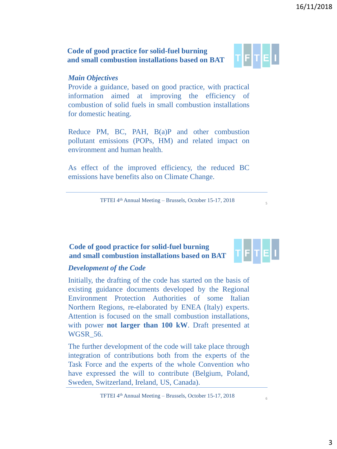## **Code of good practice for solid-fuel burning and small combustion installations based on BAT**

## *Main Objectives*

Provide a guidance, based on good practice, with practical information aimed at improving the efficiency of combustion of solid fuels in small combustion installations for domestic heating.

Reduce PM, BC, PAH, B(a)P and other combustion pollutant emissions (POPs, HM) and related impact on environment and human health.

As effect of the improved efficiency, the reduced BC emissions have benefits also on Climate Change.

TFTEI 4th Annual Meeting – Brussels, October 15-17, 2018

#### **Code of good practice for solid-fuel burning and small combustion installations based on BAT**

## *Development of the Code*

Initially, the drafting of the code has started on the basis of existing guidance documents developed by the Regional Environment Protection Authorities of some Italian Northern Regions, re-elaborated by ENEA (Italy) experts. Attention is focused on the small combustion installations, with power **not larger than 100 kW**. Draft presented at WGSR\_56.

The further development of the code will take place through integration of contributions both from the experts of the Task Force and the experts of the whole Convention who have expressed the will to contribute (Belgium, Poland, Sweden, Switzerland, Ireland, US, Canada).

TFTEI 4th Annual Meeting – Brussels, October 15-17, 2018



5

6

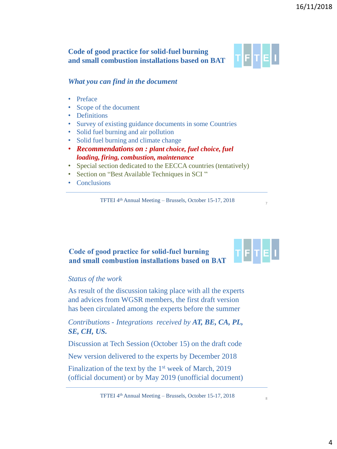#### **Code of good practice for solid-fuel burning and small combustion installations based on BAT**



#### *What you can find in the document*

- Preface
- Scope of the document
- Definitions
- Survey of existing guidance documents in some Countries
- Solid fuel burning and air pollution
- Solid fuel burning and climate change
- *Recommendations on : plant choice, fuel choice, fuel loading, firing, combustion, maintenance*
- Special section dedicated to the EECCA countries (tentatively)
- Section on "Best Available Techniques in SCI "
- Conclusions

TFTEI 4th Annual Meeting – Brussels, October 15-17, 2018

#### Code of good practice for solid-fuel burning and small combustion installations based on BAT



8

7

#### *Status of the work*

As result of the discussion taking place with all the experts and advices from WGSR members, the first draft version has been circulated among the experts before the summer

*Contributions - Integrations received by AT, BE, CA, PL, SE, CH, US.*

Discussion at Tech Session (October 15) on the draft code

New version delivered to the experts by December 2018

Finalization of the text by the 1<sup>st</sup> week of March, 2019 (official document) or by May 2019 (unofficial document)

TFTEI 4th Annual Meeting – Brussels, October 15-17, 2018